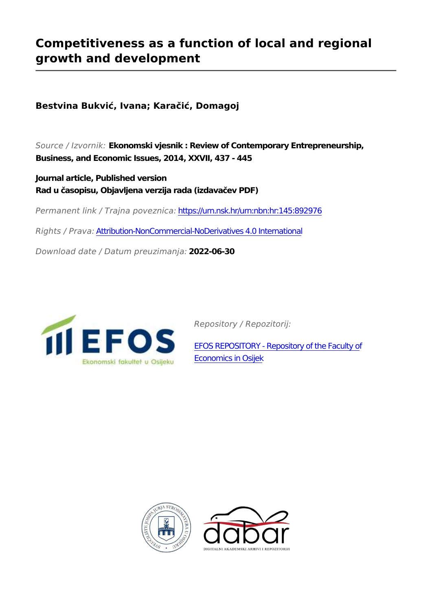## **Competitiveness as a function of local and regional growth and development**

**Bestvina Bukvić, Ivana; Karačić, Domagoj**

*Source / Izvornik:* **Ekonomski vjesnik : Review of Contemporary Entrepreneurship, Business, and Economic Issues, 2014, XXVII, 437 - 445**

**Journal article, Published version Rad u časopisu, Objavljena verzija rada (izdavačev PDF)**

*Permanent link / Trajna poveznica:* <https://urn.nsk.hr/urn:nbn:hr:145:892976>

*Rights / Prava:* [Attribution-NonCommercial-NoDerivatives 4.0 International](http://creativecommons.org/licenses/by-nc-nd/4.0/)

*Download date / Datum preuzimanja:* **2022-06-30**



*Repository / Repozitorij:*

[EFOS REPOSITORY - Repository of the Faculty o](https://repozitorij.efos.hr)f [Economics in Osijek](https://repozitorij.efos.hr)



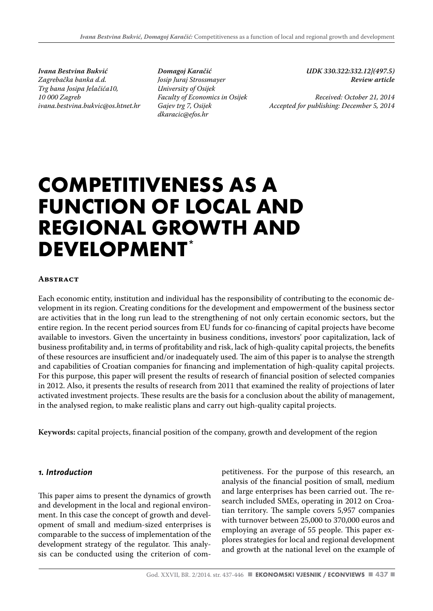*Ivana Bestvina Bukvić Zagrebačka banka d.d. Trg bana Josipa Jelačića10, 10 000 Zagreb ivana.bestvina.bukvic@os.htnet.hr*

*Domagoj Karačić Josip Juraj Strossmayer University of Osijek Faculty of Economics in Osijek Gajev trg 7, Osijek dkaracic@efos.hr*

*UDK 330.322:332.12](497.5) Review article*

*Received: October 21, 2014 Accepted for publishing: December 5, 2014*

# **COMPETITIVENESS AS A FUNCTION OF LOCAL AND REGIONAL GROWTH AND DEVELOPMENT\***

#### **Abstract**

Each economic entity, institution and individual has the responsibility of contributing to the economic development in its region. Creating conditions for the development and empowerment of the business sector are activities that in the long run lead to the strengthening of not only certain economic sectors, but the entire region. In the recent period sources from EU funds for co-financing of capital projects have become available to investors. Given the uncertainty in business conditions, investors' poor capitalization, lack of business profitability and, in terms of profitability and risk, lack of high-quality capital projects, the benefits of these resources are insufficient and/or inadequately used. The aim of this paper is to analyse the strength and capabilities of Croatian companies for financing and implementation of high-quality capital projects. For this purpose, this paper will present the results of research of financial position of selected companies in 2012. Also, it presents the results of research from 2011 that examined the reality of projections of later activated investment projects. These results are the basis for a conclusion about the ability of management, in the analysed region, to make realistic plans and carry out high-quality capital projects.

**Keywords:** capital projects, financial position of the company, growth and development of the region

#### *1. Introduction*

This paper aims to present the dynamics of growth and development in the local and regional environment. In this case the concept of growth and development of small and medium-sized enterprises is comparable to the success of implementation of the development strategy of the regulator. This analysis can be conducted using the criterion of competitiveness. For the purpose of this research, an analysis of the financial position of small, medium and large enterprises has been carried out. The research included SMEs, operating in 2012 on Croatian territory. The sample covers 5,957 companies with turnover between 25,000 to 370,000 euros and employing an average of 55 people. This paper explores strategies for local and regional development and growth at the national level on the example of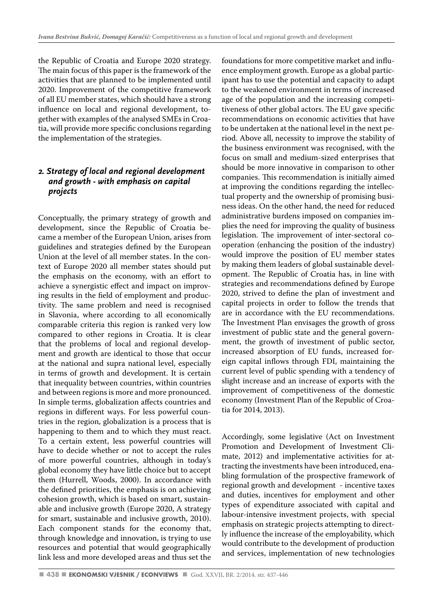the Republic of Croatia and Europe 2020 strategy. The main focus of this paper is the framework of the activities that are planned to be implemented until 2020. Improvement of the competitive framework of all EU member states, which should have a strong influence on local and regional development, together with examples of the analysed SMEs in Croatia, will provide more specific conclusions regarding the implementation of the strategies.

#### *2. Strategy of local and regional development and growth - with emphasis on capital projects*

Conceptually, the primary strategy of growth and development, since the Republic of Croatia became a member of the European Union, arises from guidelines and strategies defined by the European Union at the level of all member states. In the context of Europe 2020 all member states should put the emphasis on the economy, with an effort to achieve a synergistic effect and impact on improving results in the field of employment and productivity. The same problem and need is recognised in Slavonia, where according to all economically comparable criteria this region is ranked very low compared to other regions in Croatia. It is clear that the problems of local and regional development and growth are identical to those that occur at the national and supra national level, especially in terms of growth and development. It is certain that inequality between countries, within countries and between regions is more and more pronounced. In simple terms, globalization affects countries and regions in different ways. For less powerful countries in the region, globalization is a process that is happening to them and to which they must react. To a certain extent, less powerful countries will have to decide whether or not to accept the rules of more powerful countries, although in today's global economy they have little choice but to accept them (Hurrell, Woods, 2000). In accordance with the defined priorities, the emphasis is on achieving cohesion growth, which is based on smart, sustainable and inclusive growth (Europe 2020, A strategy for smart, sustainable and inclusive growth, 2010). Each component stands for the economy that, through knowledge and innovation, is trying to use resources and potential that would geographically link less and more developed areas and thus set the foundations for more competitive market and influence employment growth. Europe as a global participant has to use the potential and capacity to adapt to the weakened environment in terms of increased age of the population and the increasing competitiveness of other global actors. The EU gave specific recommendations on economic activities that have to be undertaken at the national level in the next period. Above all, necessity to improve the stability of the business environment was recognised, with the focus on small and medium-sized enterprises that should be more innovative in comparison to other companies. This recommendation is initially aimed at improving the conditions regarding the intellectual property and the ownership of promising business ideas. On the other hand, the need for reduced administrative burdens imposed on companies implies the need for improving the quality of business legislation. The improvement of inter-sectoral cooperation (enhancing the position of the industry) would improve the position of EU member states by making them leaders of global sustainable development. The Republic of Croatia has, in line with strategies and recommendations defined by Europe 2020, strived to define the plan of investment and capital projects in order to follow the trends that are in accordance with the EU recommendations. The Investment Plan envisages the growth of gross investment of public state and the general government, the growth of investment of public sector, increased absorption of EU funds, increased foreign capital inflows through FDI, maintaining the current level of public spending with a tendency of slight increase and an increase of exports with the improvement of competitiveness of the domestic economy (Investment Plan of the Republic of Croatia for 2014, 2013).

Accordingly, some legislative (Act on Investment Promotion and Development of Investment Climate, 2012) and implementative activities for attracting the investments have been introduced, enabling formulation of the prospective framework of regional growth and development - incentive taxes and duties, incentives for employment and other types of expenditure associated with capital and labour-intensive investment projects, with special emphasis on strategic projects attempting to directly influence the increase of the employability, which would contribute to the development of production and services, implementation of new technologies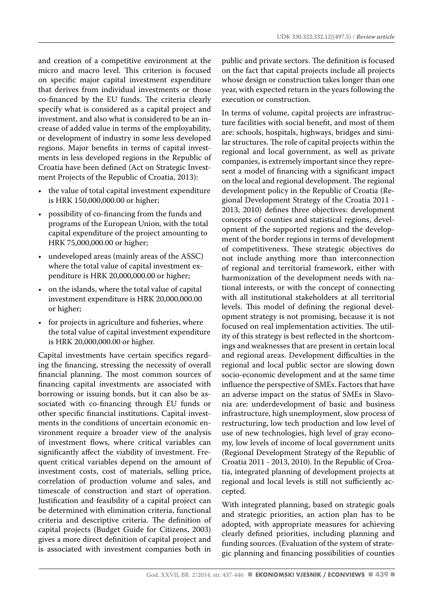and creation of a competitive environment at the micro and macro level. This criterion is focused on specific major capital investment expenditure that derives from individual investments or those co-financed by the EU funds. The criteria clearly specify what is considered as a capital project and investment, and also what is considered to be an increase of added value in terms of the employability, or development of industry in some less developed regions. Major benefits in terms of capital investments in less developed regions in the Republic of Croatia have been defined (Act on Strategic Investment Projects of the Republic of Croatia, 2013):

- the value of total capital investment expenditure is HRK 150,000,000.00 or higher;
- possibility of co-financing from the funds and programs of the European Union, with the total capital expenditure of the project amounting to HRK 75,000,000.00 or higher;
- undeveloped areas (mainly areas of the ASSC) where the total value of capital investment expenditure is HRK 20,000,000.00 or higher;
- on the islands, where the total value of capital investment expenditure is HRK 20,000,000.00 or higher;
- for projects in agriculture and fisheries, where the total value of capital investment expenditure is HRK 20,000,000.00 or higher.

Capital investments have certain specifics regarding the financing, stressing the necessity of overall financial planning. The most common sources of financing capital investments are associated with borrowing or issuing bonds, but it can also be associated with co-financing through EU funds or other specific financial institutions. Capital investments in the conditions of uncertain economic environment require a broader view of the analysis of investment flows, where critical variables can significantly affect the viability of investment. Frequent critical variables depend on the amount of investment costs, cost of materials, selling price, correlation of production volume and sales, and timescale of construction and start of operation. Justification and feasibility of a capital project can be determined with elimination criteria, functional criteria and descriptive criteria. The definition of capital projects (Budget Guide for Citizens, 2003) gives a more direct definition of capital project and is associated with investment companies both in public and private sectors. The definition is focused on the fact that capital projects include all projects whose design or construction takes longer than one year, with expected return in the years following the execution or construction.

In terms of volume, capital projects are infrastructure facilities with social benefit, and most of them are: schools, hospitals, highways, bridges and similar structures. The role of capital projects within the regional and local government, as well as private companies, is extremely important since they represent a model of financing with a significant impact on the local and regional development. The regional development policy in the Republic of Croatia (Regional Development Strategy of the Croatia 2011 - 2013, 2010) defines three objectives: development concepts of counties and statistical regions, development of the supported regions and the development of the border regions in terms of development of competitiveness. These strategic objectives do not include anything more than interconnection of regional and territorial framework, either with harmonization of the development needs with national interests, or with the concept of connecting with all institutional stakeholders at all territorial levels. This model of defining the regional development strategy is not promising, because it is not focused on real implementation activities. The utility of this strategy is best reflected in the shortcomings and weaknesses that are present in certain local and regional areas. Development difficulties in the regional and local public sector are slowing down socio-economic development and at the same time influence the perspective of SMEs. Factors that have an adverse impact on the status of SMEs in Slavonia are: underdevelopment of basic and business infrastructure, high unemployment, slow process of restructuring, low tech production and low level of use of new technologies, high level of gray economy, low levels of income of local government units (Regional Development Strategy of the Republic of Croatia 2011 - 2013, 2010). In the Republic of Croatia, integrated planning of development projects at regional and local levels is still not sufficiently accepted.

With integrated planning, based on strategic goals and strategic priorities, an action plan has to be adopted, with appropriate measures for achieving clearly defined priorities, including planning and funding sources. (Evaluation of the system of strategic planning and financing possibilities of counties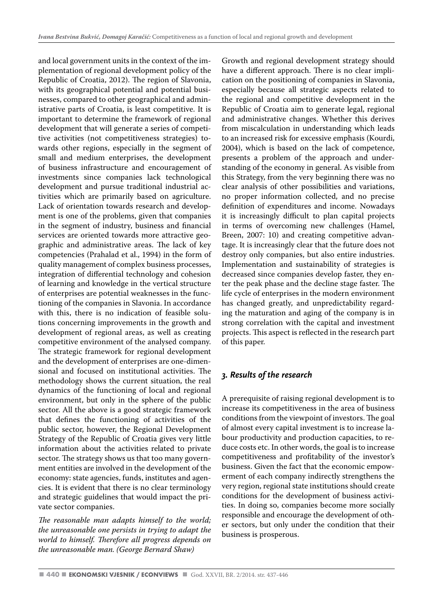and local government units in the context of the implementation of regional development policy of the Republic of Croatia, 2012). The region of Slavonia, with its geographical potential and potential businesses, compared to other geographical and administrative parts of Croatia, is least competitive. It is important to determine the framework of regional development that will generate a series of competitive activities (not competitiveness strategies) towards other regions, especially in the segment of small and medium enterprises, the development of business infrastructure and encouragement of investments since companies lack technological development and pursue traditional industrial activities which are primarily based on agriculture. Lack of orientation towards research and development is one of the problems, given that companies in the segment of industry, business and financial services are oriented towards more attractive geographic and administrative areas. The lack of key competencies (Prahalad et al., 1994) in the form of quality management of complex business processes, integration of differential technology and cohesion of learning and knowledge in the vertical structure of enterprises are potential weaknesses in the functioning of the companies in Slavonia. In accordance with this, there is no indication of feasible solutions concerning improvements in the growth and development of regional areas, as well as creating competitive environment of the analysed company. The strategic framework for regional development and the development of enterprises are one-dimensional and focused on institutional activities. The methodology shows the current situation, the real dynamics of the functioning of local and regional environment, but only in the sphere of the public sector. All the above is a good strategic framework that defines the functioning of activities of the public sector, however, the Regional Development Strategy of the Republic of Croatia gives very little information about the activities related to private sector. The strategy shows us that too many government entities are involved in the development of the economy: state agencies, funds, institutes and agencies. It is evident that there is no clear terminology and strategic guidelines that would impact the private sector companies.

*The reasonable man adapts himself to the world; the unreasonable one persists in trying to adapt the world to himself. Therefore all progress depends on the unreasonable man. (George Bernard Shaw)*

Growth and regional development strategy should have a different approach. There is no clear implication on the positioning of companies in Slavonia, especially because all strategic aspects related to the regional and competitive development in the Republic of Croatia aim to generate legal, regional and administrative changes. Whether this derives from miscalculation in understanding which leads to an increased risk for excessive emphasis (Kourdi, 2004), which is based on the lack of competence, presents a problem of the approach and understanding of the economy in general. As visible from this Strategy, from the very beginning there was no clear analysis of other possibilities and variations, no proper information collected, and no precise definition of expenditures and income. Nowadays it is increasingly difficult to plan capital projects in terms of overcoming new challenges (Hamel, Breen, 2007: 10) and creating competitive advantage. It is increasingly clear that the future does not destroy only companies, but also entire industries. Implementation and sustainability of strategies is decreased since companies develop faster, they enter the peak phase and the decline stage faster. The life cycle of enterprises in the modern environment has changed greatly, and unpredictability regarding the maturation and aging of the company is in strong correlation with the capital and investment projects. This aspect is reflected in the research part of this paper.

#### *3. Results of the research*

A prerequisite of raising regional development is to increase its competitiveness in the area of business conditions from the viewpoint of investors. The goal of almost every capital investment is to increase labour productivity and production capacities, to reduce costs etc. In other words, the goal is to increase competitiveness and profitability of the investor's business. Given the fact that the economic empowerment of each company indirectly strengthens the very region, regional state institutions should create conditions for the development of business activities. In doing so, companies become more socially responsible and encourage the development of other sectors, but only under the condition that their business is prosperous.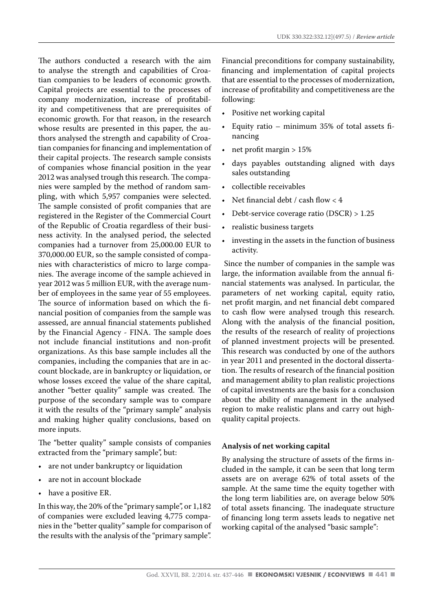The authors conducted a research with the aim to analyse the strength and capabilities of Croatian companies to be leaders of economic growth. Capital projects are essential to the processes of company modernization, increase of profitability and competitiveness that are prerequisites of economic growth. For that reason, in the research whose results are presented in this paper, the authors analysed the strength and capability of Croatian companies for financing and implementation of their capital projects. The research sample consists of companies whose financial position in the year 2012 was analysed trough this research. The companies were sampled by the method of random sampling, with which 5,957 companies were selected. The sample consisted of profit companies that are registered in the Register of the Commercial Court of the Republic of Croatia regardless of their business activity. In the analysed period, the selected companies had a turnover from 25,000.00 EUR to 370,000.00 EUR, so the sample consisted of companies with characteristics of micro to large companies. The average income of the sample achieved in year 2012 was 5 million EUR, with the average number of employees in the same year of 55 employees. The source of information based on which the financial position of companies from the sample was assessed, are annual financial statements published by the Financial Agency - FINA. The sample does not include financial institutions and non-profit organizations. As this base sample includes all the companies, including the companies that are in account blockade, are in bankruptcy or liquidation, or whose losses exceed the value of the share capital, another "better quality" sample was created. The purpose of the secondary sample was to compare it with the results of the "primary sample" analysis and making higher quality conclusions, based on more inputs.

The "better quality" sample consists of companies extracted from the "primary sample", but:

- are not under bankruptcy or liquidation
- are not in account blockade
- have a positive ER.

In this way, the 20% of the "primary sample", or 1,182 of companies were excluded leaving 4,775 companies in the "better quality" sample for comparison of the results with the analysis of the "primary sample". Financial preconditions for company sustainability, financing and implementation of capital projects that are essential to the processes of modernization, increase of profitability and competitiveness are the following:

- Positive net working capital
- Equity ratio minimum 35% of total assets financing
- net profit margin  $> 15\%$
- days payables outstanding aligned with days sales outstanding
- collectible receivables
- Net financial debt / cash flow < 4
- Debt-service coverage ratio (DSCR) > 1.25
- realistic business targets
- investing in the assets in the function of business activity.

 Since the number of companies in the sample was large, the information available from the annual financial statements was analysed. In particular, the parameters of net working capital, equity ratio, net profit margin, and net financial debt compared to cash flow were analysed trough this research. Along with the analysis of the financial position, the results of the research of reality of projections of planned investment projects will be presented. This research was conducted by one of the authors in year 2011 and presented in the doctoral dissertation. The results of research of the financial position and management ability to plan realistic projections of capital investments are the basis for a conclusion about the ability of management in the analysed region to make realistic plans and carry out highquality capital projects.

#### **Analysis of net working capital**

By analysing the structure of assets of the firms included in the sample, it can be seen that long term assets are on average 62% of total assets of the sample. At the same time the equity together with the long term liabilities are, on average below 50% of total assets financing. The inadequate structure of financing long term assets leads to negative net working capital of the analysed "basic sample":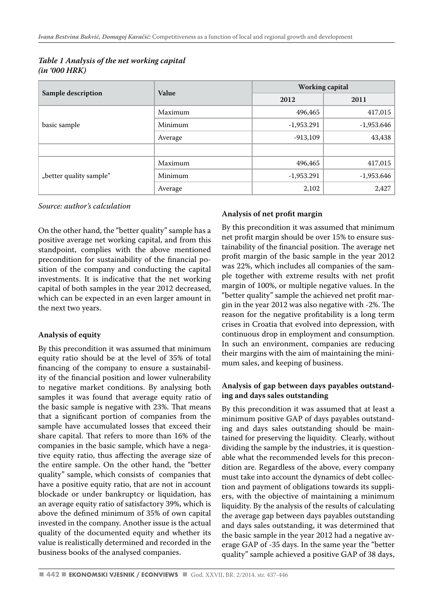| Sample description      | Value   | Working capital |              |
|-------------------------|---------|-----------------|--------------|
|                         |         | 2012            | 2011         |
| basic sample            | Maximum | 496,465         | 417,015      |
|                         | Minimum | $-1,953.291$    | $-1,953.646$ |
|                         | Average | $-913,109$      | 43,438       |
|                         |         |                 |              |
| "better quality sample" | Maximum | 496,465         | 417,015      |
|                         | Minimum | $-1,953.291$    | $-1,953.646$ |
|                         | Average | 2,102           | 2,427        |

|               |  | Table 1 Analysis of the net working capital |  |
|---------------|--|---------------------------------------------|--|
| (in '000 HRK) |  |                                             |  |

*Source: author's calculation*

On the other hand, the "better quality" sample has a positive average net working capital, and from this standpoint, complies with the above mentioned precondition for sustainability of the financial position of the company and conducting the capital investments. It is indicative that the net working capital of both samples in the year 2012 decreased, which can be expected in an even larger amount in the next two years.

#### **Analysis of equity**

By this precondition it was assumed that minimum equity ratio should be at the level of 35% of total financing of the company to ensure a sustainability of the financial position and lower vulnerability to negative market conditions. By analysing both samples it was found that average equity ratio of the basic sample is negative with 23%. That means that a significant portion of companies from the sample have accumulated losses that exceed their share capital. That refers to more than 16% of the companies in the basic sample, which have a negative equity ratio, thus affecting the average size of the entire sample. On the other hand, the "better quality" sample, which consists of companies that have a positive equity ratio, that are not in account blockade or under bankruptcy or liquidation, has an average equity ratio of satisfactory 39%, which is above the defined minimum of 35% of own capital invested in the company. Another issue is the actual quality of the documented equity and whether its value is realistically determined and recorded in the business books of the analysed companies.

#### **Analysis of net profit margin**

By this precondition it was assumed that minimum net profit margin should be over 15% to ensure sustainability of the financial position. The average net profit margin of the basic sample in the year 2012 was 22%, which includes all companies of the sample together with extreme results with net profit margin of 100%, or multiple negative values. In the "better quality" sample the achieved net profit margin in the year 2012 was also negative with -2%. The reason for the negative profitability is a long term crises in Croatia that evolved into depression, with continuous drop in employment and consumption. In such an environment, companies are reducing their margins with the aim of maintaining the minimum sales, and keeping of business.

#### **Analysis of gap between days payables outstanding and days sales outstanding**

By this precondition it was assumed that at least a minimum positive GAP of days payables outstanding and days sales outstanding should be maintained for preserving the liquidity. Clearly, without dividing the sample by the industries, it is questionable what the recommended levels for this precondition are. Regardless of the above, every company must take into account the dynamics of debt collection and payment of obligations towards its suppliers, with the objective of maintaining a minimum liquidity. By the analysis of the results of calculating the average gap between days payables outstanding and days sales outstanding, it was determined that the basic sample in the year 2012 had a negative average GAP of -35 days. In the same year the "better quality" sample achieved a positive GAP of 38 days,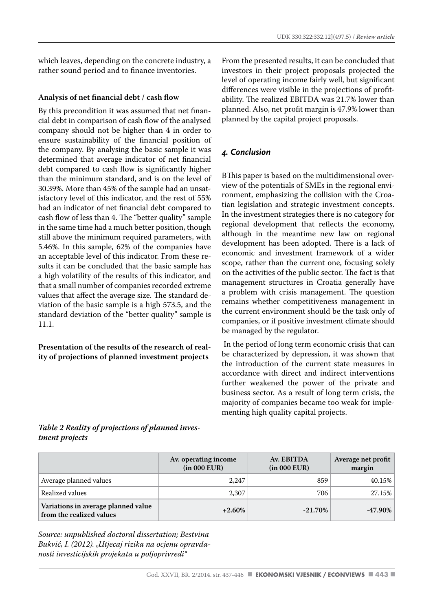which leaves, depending on the concrete industry, a rather sound period and to finance inventories.

#### **Analysis of net financial debt / cash flow**

By this precondition it was assumed that net financial debt in comparison of cash flow of the analysed company should not be higher than 4 in order to ensure sustainability of the financial position of the company. By analysing the basic sample it was determined that average indicator of net financial debt compared to cash flow is significantly higher than the minimum standard, and is on the level of 30.39%. More than 45% of the sample had an unsatisfactory level of this indicator, and the rest of 55% had an indicator of net financial debt compared to cash flow of less than 4. The "better quality" sample in the same time had a much better position, though still above the minimum required parameters, with 5.46%. In this sample, 62% of the companies have an acceptable level of this indicator. From these results it can be concluded that the basic sample has a high volatility of the results of this indicator, and that a small number of companies recorded extreme values that affect the average size. The standard deviation of the basic sample is a high 573.5, and the standard deviation of the "better quality" sample is 11.1.

**Presentation of the results of the research of reality of projections of planned investment projects**

From the presented results, it can be concluded that investors in their project proposals projected the level of operating income fairly well, but significant differences were visible in the projections of profitability. The realized EBITDA was 21.7% lower than planned. Also, net profit margin is 47.9% lower than planned by the capital project proposals.

#### *4. Conclusion*

BThis paper is based on the multidimensional overview of the potentials of SMEs in the regional environment, emphasizing the collision with the Croatian legislation and strategic investment concepts. In the investment strategies there is no category for regional development that reflects the economy, although in the meantime new law on regional development has been adopted. There is a lack of economic and investment framework of a wider scope, rather than the current one, focusing solely on the activities of the public sector. The fact is that management structures in Croatia generally have a problem with crisis management. The question remains whether competitiveness management in the current environment should be the task only of companies, or if positive investment climate should be managed by the regulator.

 In the period of long term economic crisis that can be characterized by depression, it was shown that the introduction of the current state measures in accordance with direct and indirect interventions further weakened the power of the private and business sector. As a result of long term crisis, the majority of companies became too weak for implementing high quality capital projects.

#### *Table 2 Reality of projections of planned investment projects*

|                                                                 | Av. operating income<br>(in 000 EUR) | Av. EBITDA<br>(in 000 EUR) | Average net profit<br>margin |
|-----------------------------------------------------------------|--------------------------------------|----------------------------|------------------------------|
| Average planned values                                          | 2.247                                | 859                        | 40.15%                       |
| Realized values                                                 | 2.307                                | 706                        | 27.15%                       |
| Variations in average planned value<br>from the realized values | $+2.60%$                             | $-21.70\%$                 | $-47.90\%$                   |

*Source: unpublished doctoral dissertation; Bestvina Bukvić, I. (2012). "Utjecaj rizika na ocjenu opravdanosti investicijskih projekata u poljoprivredi"*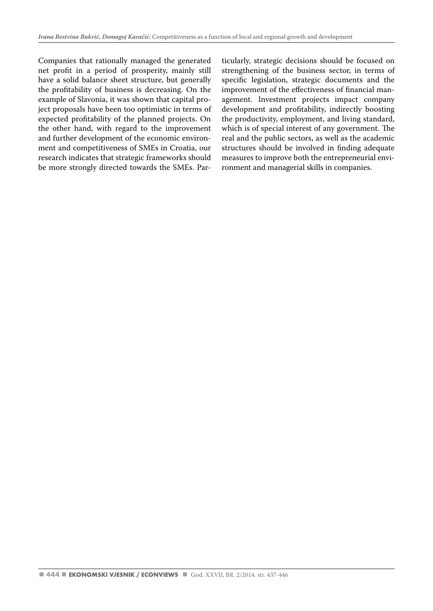Companies that rationally managed the generated net profit in a period of prosperity, mainly still have a solid balance sheet structure, but generally the profitability of business is decreasing. On the example of Slavonia, it was shown that capital project proposals have been too optimistic in terms of expected profitability of the planned projects. On the other hand, with regard to the improvement and further development of the economic environment and competitiveness of SMEs in Croatia, our research indicates that strategic frameworks should be more strongly directed towards the SMEs. Particularly, strategic decisions should be focused on strengthening of the business sector, in terms of specific legislation, strategic documents and the improvement of the effectiveness of financial management. Investment projects impact company development and profitability, indirectly boosting the productivity, employment, and living standard, which is of special interest of any government. The real and the public sectors, as well as the academic structures should be involved in finding adequate measures to improve both the entrepreneurial environment and managerial skills in companies.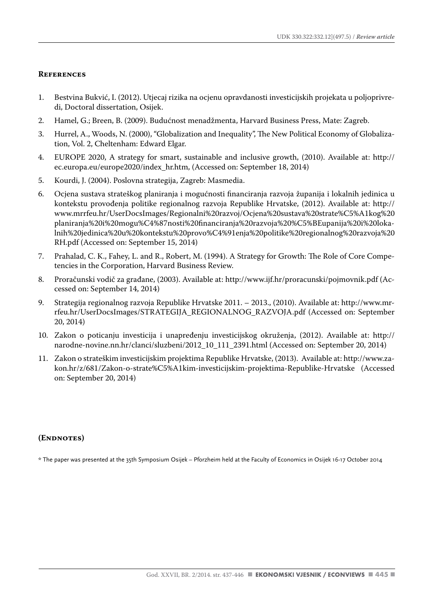#### **References**

- 1. Bestvina Bukvić, I. (2012). Utjecaj rizika na ocjenu opravdanosti investicijskih projekata u poljoprivredi, Doctoral dissertation, Osijek.
- 2. Hamel, G.; Breen, B. (2009). Budućnost menadžmenta, Harvard Business Press, Mate: Zagreb.
- 3. Hurrel, A., Woods, N. (2000), "Globalization and Inequality", The New Political Economy of Globalization, Vol. 2, Cheltenham: Edward Elgar.
- 4. EUROPE 2020, A strategy for smart, sustainable and inclusive growth, (2010). Available at: http:// ec.europa.eu/europe2020/index\_hr.htm, (Accessed on: September 18, 2014)
- 5. Kourdi, J. (2004). Poslovna strategija, Zagreb: Masmedia.
- 6. Ocjena sustava strateškog planiranja i mogućnosti financiranja razvoja županija i lokalnih jedinica u kontekstu provođenja politike regionalnog razvoja Republike Hrvatske, (2012). Available at: http:// www.mrrfeu.hr/UserDocsImages/Regionalni%20razvoj/Ocjena%20sustava%20strate%C5%A1kog%20 planiranja%20i%20mogu%C4%87nosti%20financiranja%20razvoja%20%C5%BEupanija%20i%20lokalnih%20jedinica%20u%20kontekstu%20provo%C4%91enja%20politike%20regionalnog%20razvoja%20 RH.pdf (Accessed on: September 15, 2014)
- 7. Prahalad, C. K., Fahey, L. and R., Robert, M. (1994). A Strategy for Growth: The Role of Core Competencies in the Corporation, Harvard Business Review.
- 8. Proračunski vodič za građane, (2003). Available at: http://www.ijf.hr/proracunski/pojmovnik.pdf (Accessed on: September 14, 2014)
- 9. Strategija regionalnog razvoja Republike Hrvatske 2011. 2013., (2010). Available at: http://www.mrrfeu.hr/UserDocsImages/STRATEGIJA\_REGIONALNOG\_RAZVOJA.pdf (Accessed on: September 20, 2014)
- 10. Zakon o poticanju investicija i unapređenju investicijskog okruženja, (2012). Available at: http:// narodne-novine.nn.hr/clanci/sluzbeni/2012\_10\_111\_2391.html (Accessed on: September 20, 2014)
- 11. Zakon o strateškim investicijskim projektima Republike Hrvatske, (2013). Available at: http://www.zakon.hr/z/681/Zakon-o-strate%C5%A1kim-investicijskim-projektima-Republike-Hrvatske (Accessed on: September 20, 2014)

#### **(Endnotes)**

\* The paper was presented at the 35th Symposium Osijek – Pforzheim held at the Faculty of Economics in Osijek 16-17 October 2014